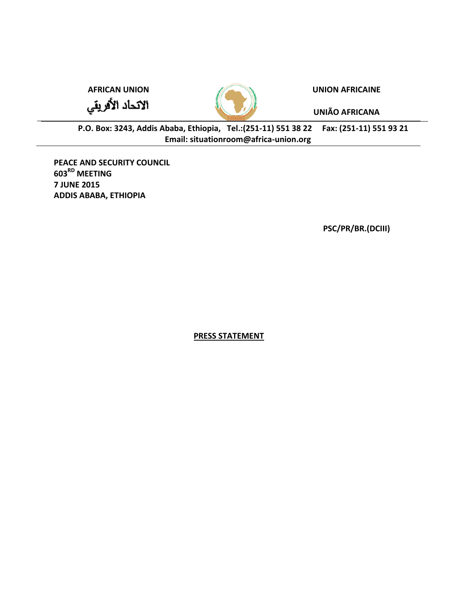الاتحاد الأفريقي



## **AFRICAN UNION UNION AFRICAINE**

**UNIÃO AFRICANA**

**P.O. Box: 3243, Addis Ababa, Ethiopia, Tel.:(251-11) 551 38 22 Fax: (251-11) 551 93 21 Email: situationroom@africa-union.org**

**PEACE AND SECURITY COUNCIL 603RD MEETING 7 JUNE 2015 ADDIS ABABA, ETHIOPIA**

**PSC/PR/BR.(DCIII)** 

**PRESS STATEMENT**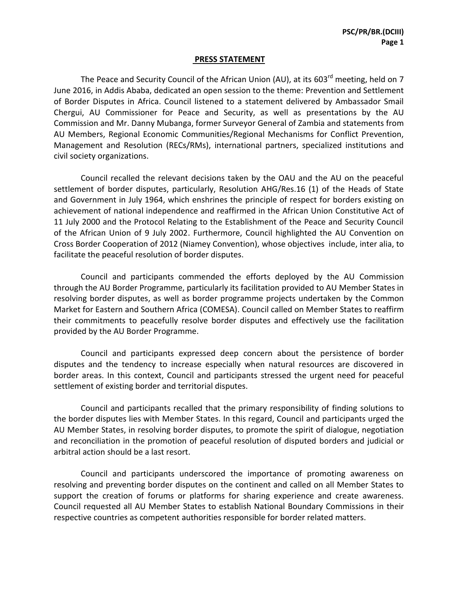## **PRESS STATEMENT**

The Peace and Security Council of the African Union (AU), at its 603<sup>rd</sup> meeting, held on 7 June 2016, in Addis Ababa, dedicated an open session to the theme: Prevention and Settlement of Border Disputes in Africa. Council listened to a statement delivered by Ambassador Smail Chergui, AU Commissioner for Peace and Security, as well as presentations by the AU Commission and Mr. Danny Mubanga, former Surveyor General of Zambia and statements from AU Members, Regional Economic Communities/Regional Mechanisms for Conflict Prevention, Management and Resolution (RECs/RMs), international partners, specialized institutions and civil society organizations.

Council recalled the relevant decisions taken by the OAU and the AU on the peaceful settlement of border disputes, particularly, Resolution AHG/Res.16 (1) of the Heads of State and Government in July 1964, which enshrines the principle of respect for borders existing on achievement of national independence and reaffirmed in the African Union Constitutive Act of 11 July 2000 and the Protocol Relating to the Establishment of the Peace and Security Council of the African Union of 9 July 2002. Furthermore, Council highlighted the AU Convention on Cross Border Cooperation of 2012 (Niamey Convention), whose objectives include, inter alia, to facilitate the peaceful resolution of border disputes.

Council and participants commended the efforts deployed by the AU Commission through the AU Border Programme, particularly its facilitation provided to AU Member States in resolving border disputes, as well as border programme projects undertaken by the Common Market for Eastern and Southern Africa (COMESA). Council called on Member States to reaffirm their commitments to peacefully resolve border disputes and effectively use the facilitation provided by the AU Border Programme.

Council and participants expressed deep concern about the persistence of border disputes and the tendency to increase especially when natural resources are discovered in border areas. In this context, Council and participants stressed the urgent need for peaceful settlement of existing border and territorial disputes.

Council and participants recalled that the primary responsibility of finding solutions to the border disputes lies with Member States. In this regard, Council and participants urged the AU Member States, in resolving border disputes, to promote the spirit of dialogue, negotiation and reconciliation in the promotion of peaceful resolution of disputed borders and judicial or arbitral action should be a last resort.

Council and participants underscored the importance of promoting awareness on resolving and preventing border disputes on the continent and called on all Member States to support the creation of forums or platforms for sharing experience and create awareness. Council requested all AU Member States to establish National Boundary Commissions in their respective countries as competent authorities responsible for border related matters.